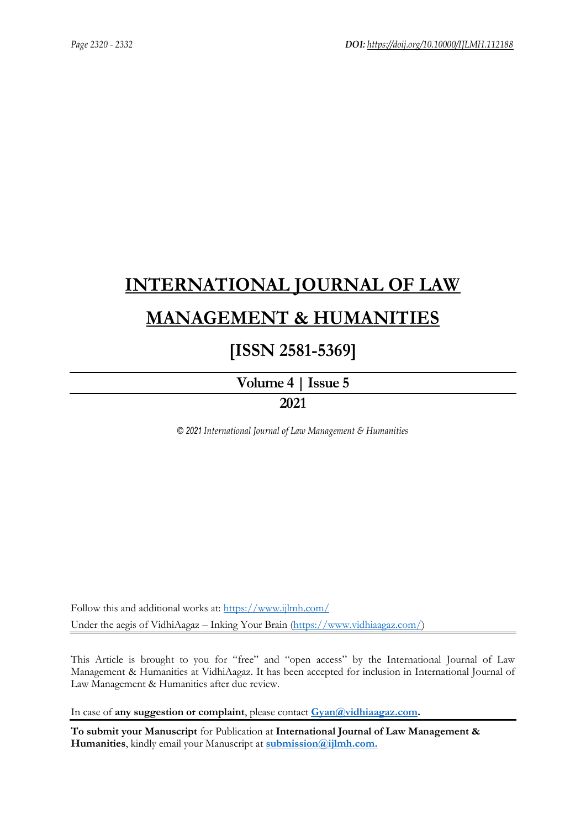# **[INTERNATIONAL JOURNAL OF LAW](https://www.ijlmh.com/)  [MANAGEMENT & HUMANITIES](https://www.ijlmh.com/)**

# **[ISSN 2581-5369]**

**[Volume 4 |](https://www.ijlmh.com/publications/volume-iv-issue-v/) Issue 5 2021**

*© 2021 International Journal of Law Management & Humanities*

Follow this and additional works at:<https://www.ijlmh.com/> Under the aegis of VidhiAagaz – Inking Your Brain [\(https://www.vidhiaagaz.com/\)](https://www.vidhiaagaz.com/)

This Article is brought to you for "free" and "open access" by the International Journal of Law Management & Humanities at VidhiAagaz. It has been accepted for inclusion in International Journal of Law Management & Humanities after due review.

In case of **any suggestion or complaint**, please contact **[Gyan@vidhiaagaz.com.](mailto:Gyan@vidhiaagaz.com)** 

**To submit your Manuscript** for Publication at **International Journal of Law Management & Humanities**, kindly email your Manuscript at **[submission@ijlmh.com.](mailto:submission@ijlmh.com)**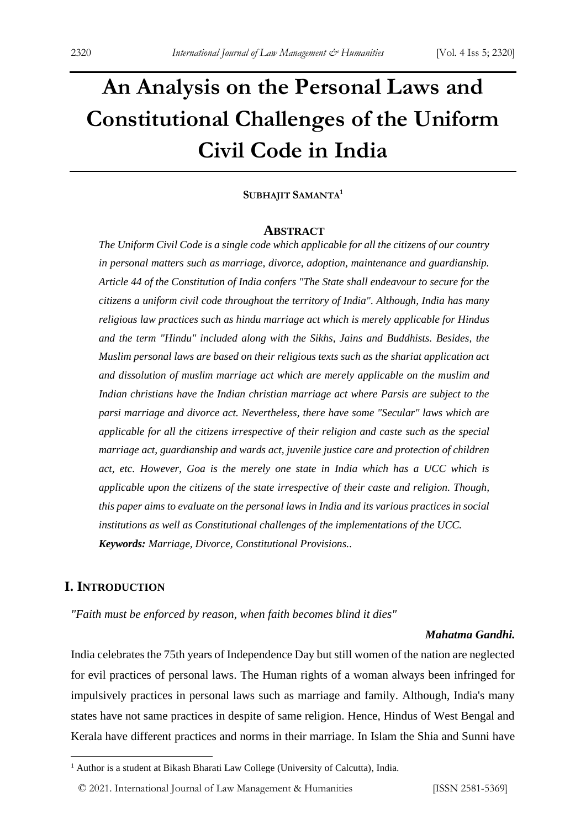# **An Analysis on the Personal Laws and Constitutional Challenges of the Uniform Civil Code in India**

#### **SUBHAJIT SAMANTA<sup>1</sup>**

#### **ABSTRACT**

*The Uniform Civil Code is a single code which applicable for all the citizens of our country in personal matters such as marriage, divorce, adoption, maintenance and guardianship. Article 44 of the Constitution of India confers "The State shall endeavour to secure for the citizens a uniform civil code throughout the territory of India". Although, India has many religious law practices such as hindu marriage act which is merely applicable for Hindus and the term "Hindu" included along with the Sikhs, Jains and Buddhists. Besides, the Muslim personal laws are based on their religious texts such as the shariat application act and dissolution of muslim marriage act which are merely applicable on the muslim and Indian christians have the Indian christian marriage act where Parsis are subject to the parsi marriage and divorce act. Nevertheless, there have some "Secular" laws which are applicable for all the citizens irrespective of their religion and caste such as the special marriage act, guardianship and wards act, juvenile justice care and protection of children act, etc. However, Goa is the merely one state in India which has a UCC which is applicable upon the citizens of the state irrespective of their caste and religion. Though, this paper aims to evaluate on the personal laws in India and its various practices in social institutions as well as Constitutional challenges of the implementations of the UCC. Keywords: Marriage, Divorce, Constitutional Provisions..*

# **I. INTRODUCTION**

*"Faith must be enforced by reason, when faith becomes blind it dies"*

#### *Mahatma Gandhi.*

India celebrates the 75th years of Independence Day but still women of the nation are neglected for evil practices of personal laws. The Human rights of a woman always been infringed for impulsively practices in personal laws such as marriage and family. Although, India's many states have not same practices in despite of same religion. Hence, Hindus of West Bengal and Kerala have different practices and norms in their marriage. In Islam the Shia and Sunni have

<sup>&</sup>lt;sup>1</sup> Author is a student at Bikash Bharati Law College (University of Calcutta), India.

<sup>© 2021.</sup> International Journal of [Law Management & Humanities](https://www.ijlmh.com/) [ISSN 2581-5369]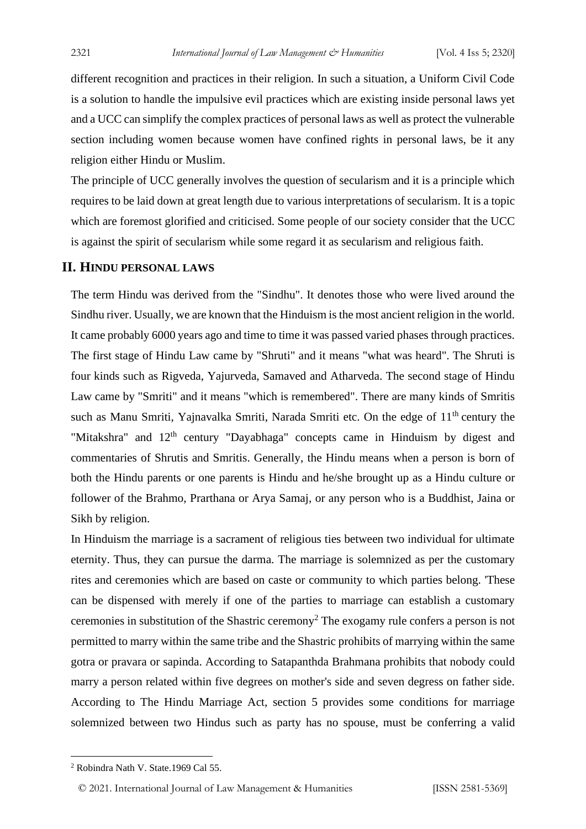different recognition and practices in their religion. In such a situation, a Uniform Civil Code is a solution to handle the impulsive evil practices which are existing inside personal laws yet and a UCC can simplify the complex practices of personal laws as well as protect the vulnerable section including women because women have confined rights in personal laws, be it any religion either Hindu or Muslim.

The principle of UCC generally involves the question of secularism and it is a principle which requires to be laid down at great length due to various interpretations of secularism. It is a topic which are foremost glorified and criticised. Some people of our society consider that the UCC is against the spirit of secularism while some regard it as secularism and religious faith.

#### **II. HINDU PERSONAL LAWS**

The term Hindu was derived from the "Sindhu". It denotes those who were lived around the Sindhu river. Usually, we are known that the Hinduism is the most ancient religion in the world. It came probably 6000 years ago and time to time it was passed varied phases through practices. The first stage of Hindu Law came by "Shruti" and it means "what was heard". The Shruti is four kinds such as Rigveda, Yajurveda, Samaved and Atharveda. The second stage of Hindu Law came by "Smriti" and it means "which is remembered". There are many kinds of Smritis such as Manu Smriti, Yajnavalka Smriti, Narada Smriti etc. On the edge of 11<sup>th</sup> century the "Mitakshra" and  $12<sup>th</sup>$  century "Dayabhaga" concepts came in Hinduism by digest and commentaries of Shrutis and Smritis. Generally, the Hindu means when a person is born of both the Hindu parents or one parents is Hindu and he/she brought up as a Hindu culture or follower of the Brahmo, Prarthana or Arya Samaj, or any person who is a Buddhist, Jaina or Sikh by religion.

In Hinduism the marriage is a sacrament of religious ties between two individual for ultimate eternity. Thus, they can pursue the darma. The marriage is solemnized as per the customary rites and ceremonies which are based on caste or community to which parties belong. 'These can be dispensed with merely if one of the parties to marriage can establish a customary ceremonies in substitution of the Shastric ceremony<sup>2</sup> The exogamy rule confers a person is not permitted to marry within the same tribe and the Shastric prohibits of marrying within the same gotra or pravara or sapinda. According to Satapanthda Brahmana prohibits that nobody could marry a person related within five degrees on mother's side and seven degress on father side. According to The Hindu Marriage Act, section 5 provides some conditions for marriage solemnized between two Hindus such as party has no spouse, must be conferring a valid

© 2021. International Journal of [Law Management & Humanities](https://www.ijlmh.com/) [ISSN 2581-5369]

<sup>2</sup> Robindra Nath V. State.1969 Cal 55.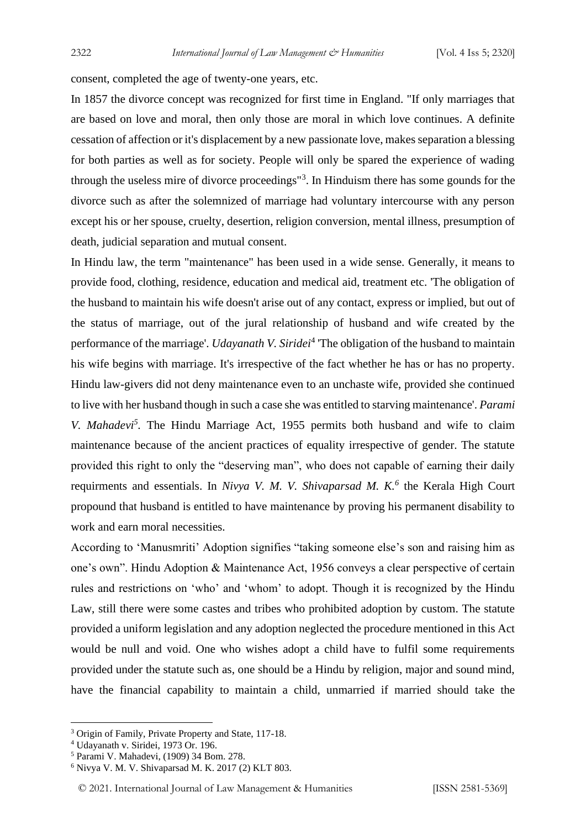consent, completed the age of twenty-one years, etc.

In 1857 the divorce concept was recognized for first time in England. "If only marriages that are based on love and moral, then only those are moral in which love continues. A definite cessation of affection or it's displacement by a new passionate love, makes separation a blessing for both parties as well as for society. People will only be spared the experience of wading through the useless mire of divorce proceedings"<sup>3</sup> . In Hinduism there has some gounds for the divorce such as after the solemnized of marriage had voluntary intercourse with any person except his or her spouse, cruelty, desertion, religion conversion, mental illness, presumption of death, judicial separation and mutual consent.

In Hindu law, the term "maintenance" has been used in a wide sense. Generally, it means to provide food, clothing, residence, education and medical aid, treatment etc. 'The obligation of the husband to maintain his wife doesn't arise out of any contact, express or implied, but out of the status of marriage, out of the jural relationship of husband and wife created by the performance of the marriage'. *Udayanath V. Siridet*<sup>4</sup> 'The obligation of the husband to maintain his wife begins with marriage. It's irrespective of the fact whether he has or has no property. Hindu law-givers did not deny maintenance even to an unchaste wife, provided she continued to live with her husband though in such a case she was entitled to starving maintenance'. *Parami V. Mahadevi<sup>5</sup> .* The Hindu Marriage Act, 1955 permits both husband and wife to claim maintenance because of the ancient practices of equality irrespective of gender. The statute provided this right to only the "deserving man", who does not capable of earning their daily requirments and essentials. In *Nivya V. M. V. Shivaparsad M. K.<sup>6</sup>* the Kerala High Court propound that husband is entitled to have maintenance by proving his permanent disability to work and earn moral necessities.

According to 'Manusmriti' Adoption signifies "taking someone else's son and raising him as one's own". Hindu Adoption & Maintenance Act, 1956 conveys a clear perspective of certain rules and restrictions on 'who' and 'whom' to adopt. Though it is recognized by the Hindu Law, still there were some castes and tribes who prohibited adoption by custom. The statute provided a uniform legislation and any adoption neglected the procedure mentioned in this Act would be null and void. One who wishes adopt a child have to fulfil some requirements provided under the statute such as, one should be a Hindu by religion, major and sound mind, have the financial capability to maintain a child, unmarried if married should take the

<sup>3</sup> Origin of Family, Private Property and State, 117-18.

<sup>4</sup> Udayanath v. Siridei, 1973 Or. 196.

<sup>5</sup> Parami V. Mahadevi, (1909) 34 Bom. 278.

<sup>6</sup> Nivya V. M. V. Shivaparsad M. K. 2017 (2) KLT 803.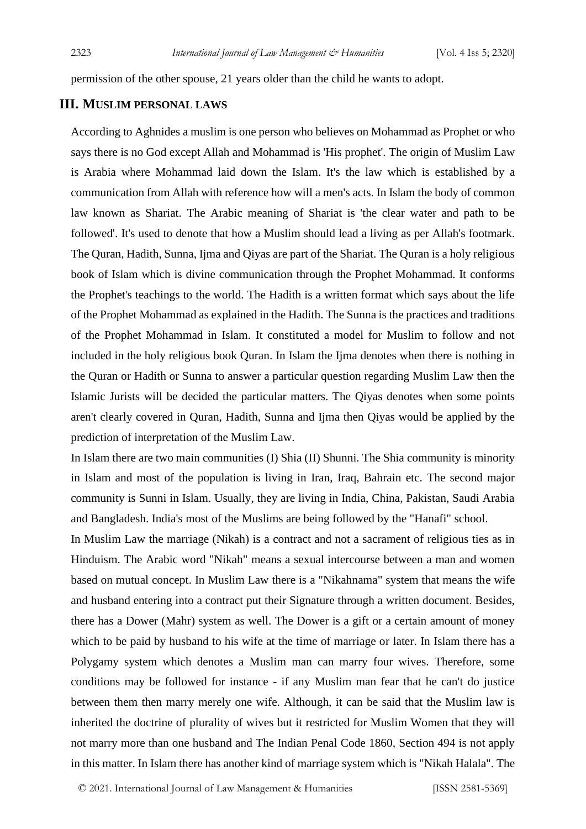permission of the other spouse, 21 years older than the child he wants to adopt.

#### **III. MUSLIM PERSONAL LAWS**

According to Aghnides a muslim is one person who believes on Mohammad as Prophet or who says there is no God except Allah and Mohammad is 'His prophet'. The origin of Muslim Law is Arabia where Mohammad laid down the Islam. It's the law which is established by a communication from Allah with reference how will a men's acts. In Islam the body of common law known as Shariat. The Arabic meaning of Shariat is 'the clear water and path to be followed'. It's used to denote that how a Muslim should lead a living as per Allah's footmark. The Quran, Hadith, Sunna, Ijma and Qiyas are part of the Shariat. The Quran is a holy religious book of Islam which is divine communication through the Prophet Mohammad. It conforms the Prophet's teachings to the world. The Hadith is a written format which says about the life of the Prophet Mohammad as explained in the Hadith. The Sunna is the practices and traditions of the Prophet Mohammad in Islam. It constituted a model for Muslim to follow and not included in the holy religious book Quran. In Islam the Ijma denotes when there is nothing in the Quran or Hadith or Sunna to answer a particular question regarding Muslim Law then the Islamic Jurists will be decided the particular matters. The Qiyas denotes when some points aren't clearly covered in Quran, Hadith, Sunna and Ijma then Qiyas would be applied by the prediction of interpretation of the Muslim Law.

In Islam there are two main communities (I) Shia (II) Shunni. The Shia community is minority in Islam and most of the population is living in Iran, Iraq, Bahrain etc. The second major community is Sunni in Islam. Usually, they are living in India, China, Pakistan, Saudi Arabia and Bangladesh. India's most of the Muslims are being followed by the "Hanafi" school.

In Muslim Law the marriage (Nikah) is a contract and not a sacrament of religious ties as in Hinduism. The Arabic word "Nikah" means a sexual intercourse between a man and women based on mutual concept. In Muslim Law there is a "Nikahnama" system that means the wife and husband entering into a contract put their Signature through a written document. Besides, there has a Dower (Mahr) system as well. The Dower is a gift or a certain amount of money which to be paid by husband to his wife at the time of marriage or later. In Islam there has a Polygamy system which denotes a Muslim man can marry four wives. Therefore, some conditions may be followed for instance - if any Muslim man fear that he can't do justice between them then marry merely one wife. Although, it can be said that the Muslim law is inherited the doctrine of plurality of wives but it restricted for Muslim Women that they will not marry more than one husband and The Indian Penal Code 1860, Section 494 is not apply in this matter. In Islam there has another kind of marriage system which is "Nikah Halala". The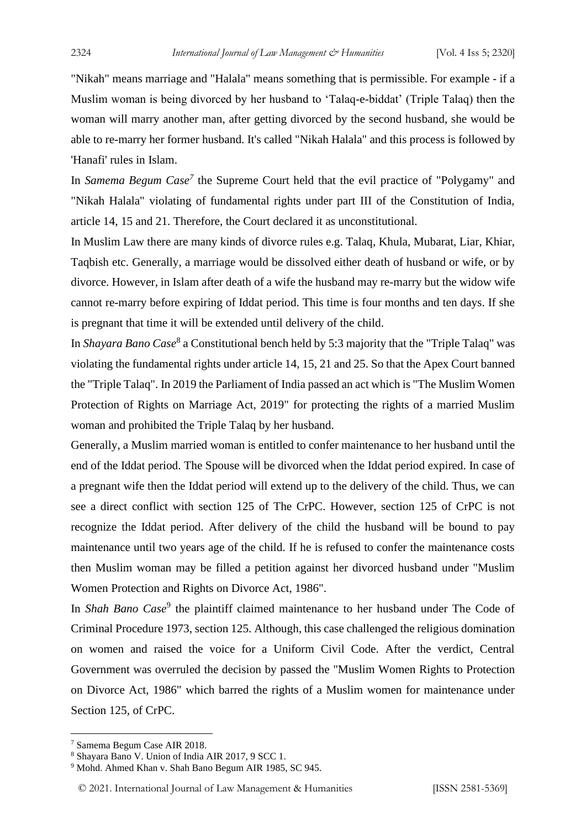"Nikah" means marriage and "Halala" means something that is permissible. For example - if a Muslim woman is being divorced by her husband to 'Talaq-e-biddat' (Triple Talaq) then the woman will marry another man, after getting divorced by the second husband, she would be able to re-marry her former husband. It's called "Nikah Halala" and this process is followed by 'Hanafi' rules in Islam.

In *Samema Begum Case<sup>7</sup>* the Supreme Court held that the evil practice of "Polygamy" and "Nikah Halala" violating of fundamental rights under part III of the Constitution of India, article 14, 15 and 21. Therefore, the Court declared it as unconstitutional.

In Muslim Law there are many kinds of divorce rules e.g. Talaq, Khula, Mubarat, Liar, Khiar, Taqbish etc. Generally, a marriage would be dissolved either death of husband or wife, or by divorce. However, in Islam after death of a wife the husband may re-marry but the widow wife cannot re-marry before expiring of Iddat period. This time is four months and ten days. If she is pregnant that time it will be extended until delivery of the child.

In *Shayara Bano Case*<sup>8</sup> a Constitutional bench held by 5:3 majority that the "Triple Talaq" was violating the fundamental rights under article 14, 15, 21 and 25. So that the Apex Court banned the "Triple Talaq". In 2019 the Parliament of India passed an act which is "The Muslim Women Protection of Rights on Marriage Act, 2019" for protecting the rights of a married Muslim woman and prohibited the Triple Talaq by her husband.

Generally, a Muslim married woman is entitled to confer maintenance to her husband until the end of the Iddat period. The Spouse will be divorced when the Iddat period expired. In case of a pregnant wife then the Iddat period will extend up to the delivery of the child. Thus, we can see a direct conflict with section 125 of The CrPC. However, section 125 of CrPC is not recognize the Iddat period. After delivery of the child the husband will be bound to pay maintenance until two years age of the child. If he is refused to confer the maintenance costs then Muslim woman may be filled a petition against her divorced husband under "Muslim Women Protection and Rights on Divorce Act, 1986".

In *Shah Bano Case*<sup>9</sup> the plaintiff claimed maintenance to her husband under The Code of Criminal Procedure 1973, section 125. Although, this case challenged the religious domination on women and raised the voice for a Uniform Civil Code. After the verdict, Central Government was overruled the decision by passed the "Muslim Women Rights to Protection on Divorce Act, 1986" which barred the rights of a Muslim women for maintenance under Section 125, of CrPC.

<sup>7</sup> Samema Begum Case AIR 2018.

<sup>8</sup> Shayara Bano V. Union of India AIR 2017, 9 SCC 1.

<sup>9</sup> Mohd. Ahmed Khan v. Shah Bano Begum AIR 1985, SC 945.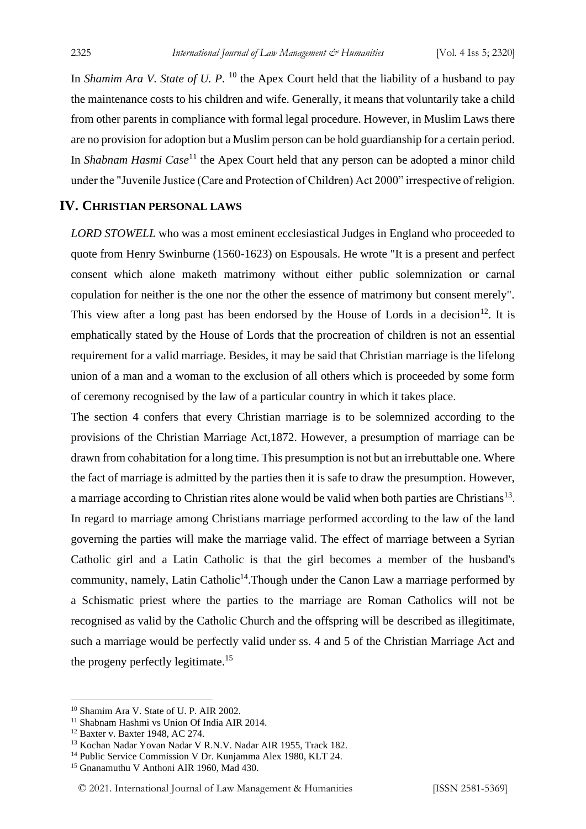In *Shamim Ara V. State of U. P.* <sup>10</sup> the Apex Court held that the liability of a husband to pay the maintenance costs to his children and wife. Generally, it means that voluntarily take a child from other parents in compliance with formal legal procedure. However, in Muslim Laws there are no provision for adoption but a Muslim person can be hold guardianship for a certain period. In *Shabnam Hasmi Case*<sup>11</sup> the Apex Court held that any person can be adopted a minor child under the "Juvenile Justice (Care and Protection of Children) Act 2000" irrespective of religion.

### **IV. CHRISTIAN PERSONAL LAWS**

*LORD STOWELL* who was a most eminent ecclesiastical Judges in England who proceeded to quote from Henry Swinburne (1560-1623) on Espousals. He wrote "It is a present and perfect consent which alone maketh matrimony without either public solemnization or carnal copulation for neither is the one nor the other the essence of matrimony but consent merely". This view after a long past has been endorsed by the House of Lords in a decision<sup>12</sup>. It is emphatically stated by the House of Lords that the procreation of children is not an essential requirement for a valid marriage. Besides, it may be said that Christian marriage is the lifelong union of a man and a woman to the exclusion of all others which is proceeded by some form of ceremony recognised by the law of a particular country in which it takes place.

The section 4 confers that every Christian marriage is to be solemnized according to the provisions of the Christian Marriage Act,1872. However, a presumption of marriage can be drawn from cohabitation for a long time. This presumption is not but an irrebuttable one. Where the fact of marriage is admitted by the parties then it is safe to draw the presumption. However, a marriage according to Christian rites alone would be valid when both parties are Christians<sup>13</sup>. In regard to marriage among Christians marriage performed according to the law of the land governing the parties will make the marriage valid. The effect of marriage between a Syrian Catholic girl and a Latin Catholic is that the girl becomes a member of the husband's community, namely, Latin Catholic<sup>14</sup>. Though under the Canon Law a marriage performed by a Schismatic priest where the parties to the marriage are Roman Catholics will not be recognised as valid by the Catholic Church and the offspring will be described as illegitimate, such a marriage would be perfectly valid under ss. 4 and 5 of the Christian Marriage Act and the progeny perfectly legitimate.<sup>15</sup>

<sup>10</sup> Shamim Ara V. State of U. P. AIR 2002.

<sup>11</sup> Shabnam Hashmi vs Union Of India AIR 2014.

<sup>12</sup> Baxter v. Baxter 1948, AC 274.

<sup>13</sup> Kochan Nadar Yovan Nadar V R.N.V. Nadar AIR 1955, Track 182.

<sup>&</sup>lt;sup>14</sup> Public Service Commission V Dr. Kunjamma Alex 1980, KLT 24.

<sup>15</sup> Gnanamuthu V Anthoni AIR 1960, Mad 430.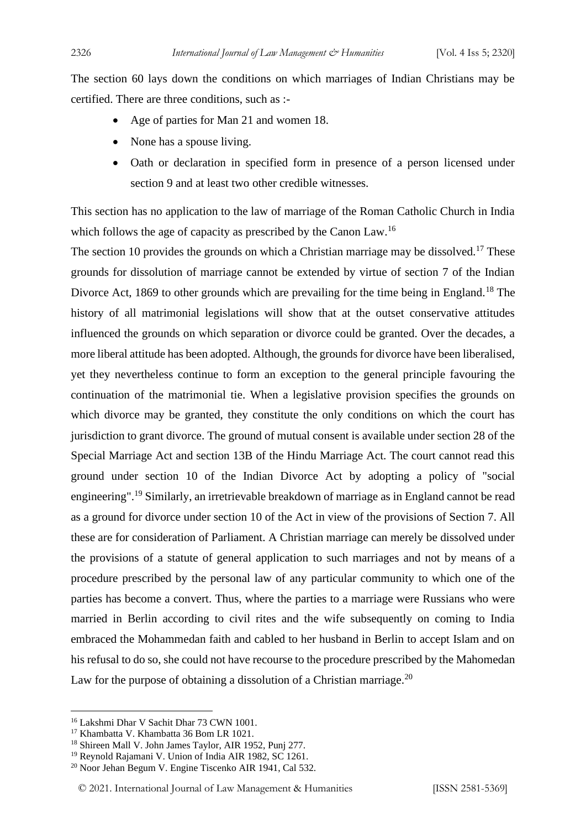The section 60 lays down the conditions on which marriages of Indian Christians may be certified. There are three conditions, such as :-

- Age of parties for Man 21 and women 18.
- None has a spouse living.
- Oath or declaration in specified form in presence of a person licensed under section 9 and at least two other credible witnesses.

This section has no application to the law of marriage of the Roman Catholic Church in India which follows the age of capacity as prescribed by the Canon Law.<sup>16</sup>

The section 10 provides the grounds on which a Christian marriage may be dissolved.<sup>17</sup> These grounds for dissolution of marriage cannot be extended by virtue of section 7 of the Indian Divorce Act, 1869 to other grounds which are prevailing for the time being in England.<sup>18</sup> The history of all matrimonial legislations will show that at the outset conservative attitudes influenced the grounds on which separation or divorce could be granted. Over the decades, a more liberal attitude has been adopted. Although, the grounds for divorce have been liberalised, yet they nevertheless continue to form an exception to the general principle favouring the continuation of the matrimonial tie. When a legislative provision specifies the grounds on which divorce may be granted, they constitute the only conditions on which the court has jurisdiction to grant divorce. The ground of mutual consent is available under section 28 of the Special Marriage Act and section 13B of the Hindu Marriage Act. The court cannot read this ground under section 10 of the Indian Divorce Act by adopting a policy of "social engineering".<sup>19</sup> Similarly, an irretrievable breakdown of marriage as in England cannot be read as a ground for divorce under section 10 of the Act in view of the provisions of Section 7. All these are for consideration of Parliament. A Christian marriage can merely be dissolved under the provisions of a statute of general application to such marriages and not by means of a procedure prescribed by the personal law of any particular community to which one of the parties has become a convert. Thus, where the parties to a marriage were Russians who were married in Berlin according to civil rites and the wife subsequently on coming to India embraced the Mohammedan faith and cabled to her husband in Berlin to accept Islam and on his refusal to do so, she could not have recourse to the procedure prescribed by the Mahomedan Law for the purpose of obtaining a dissolution of a Christian marriage.<sup>20</sup>

<sup>16</sup> Lakshmi Dhar V Sachit Dhar 73 CWN 1001.

<sup>17</sup> Khambatta V. Khambatta 36 Bom LR 1021.

<sup>18</sup> Shireen Mall V. John James Taylor, AIR 1952, Punj 277.

<sup>&</sup>lt;sup>19</sup> Reynold Rajamani V. Union of India AIR 1982, SC 1261.

<sup>20</sup> Noor Jehan Begum V. Engine Tiscenko AIR 1941, Cal 532.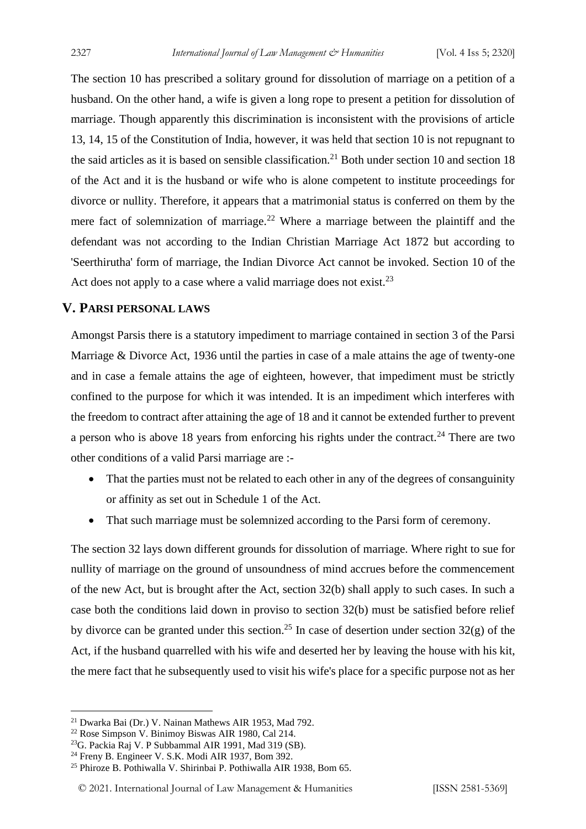The section 10 has prescribed a solitary ground for dissolution of marriage on a petition of a husband. On the other hand, a wife is given a long rope to present a petition for dissolution of marriage. Though apparently this discrimination is inconsistent with the provisions of article 13, 14, 15 of the Constitution of India, however, it was held that section 10 is not repugnant to the said articles as it is based on sensible classification.<sup>21</sup> Both under section 10 and section 18 of the Act and it is the husband or wife who is alone competent to institute proceedings for divorce or nullity. Therefore, it appears that a matrimonial status is conferred on them by the mere fact of solemnization of marriage.<sup>22</sup> Where a marriage between the plaintiff and the defendant was not according to the Indian Christian Marriage Act 1872 but according to 'Seerthirutha' form of marriage, the Indian Divorce Act cannot be invoked. Section 10 of the Act does not apply to a case where a valid marriage does not exist.<sup>23</sup>

### **V. PARSI PERSONAL LAWS**

Amongst Parsis there is a statutory impediment to marriage contained in section 3 of the Parsi Marriage & Divorce Act, 1936 until the parties in case of a male attains the age of twenty-one and in case a female attains the age of eighteen, however, that impediment must be strictly confined to the purpose for which it was intended. It is an impediment which interferes with the freedom to contract after attaining the age of 18 and it cannot be extended further to prevent a person who is above 18 years from enforcing his rights under the contract.<sup>24</sup> There are two other conditions of a valid Parsi marriage are :-

- That the parties must not be related to each other in any of the degrees of consanguinity or affinity as set out in Schedule 1 of the Act.
- That such marriage must be solemnized according to the Parsi form of ceremony.

The section 32 lays down different grounds for dissolution of marriage. Where right to sue for nullity of marriage on the ground of unsoundness of mind accrues before the commencement of the new Act, but is brought after the Act, section 32(b) shall apply to such cases. In such a case both the conditions laid down in proviso to section 32(b) must be satisfied before relief by divorce can be granted under this section.<sup>25</sup> In case of desertion under section 32(g) of the Act, if the husband quarrelled with his wife and deserted her by leaving the house with his kit, the mere fact that he subsequently used to visit his wife's place for a specific purpose not as her

<sup>21</sup> Dwarka Bai (Dr.) V. Nainan Mathews AIR 1953, Mad 792.

<sup>22</sup> Rose Simpson V. Binimoy Biswas AIR 1980, Cal 214.

<sup>23</sup>G. Packia Raj V. P Subbammal AIR 1991, Mad 319 (SB).

<sup>24</sup> Freny B. Engineer V. S.K. Modi AIR 1937, Bom 392.

<sup>25</sup> Phiroze B. Pothiwalla V. Shirinbai P. Pothiwalla AIR 1938, Bom 65.

<sup>© 2021.</sup> International Journal of [Law Management & Humanities](https://www.ijlmh.com/) [ISSN 2581-5369]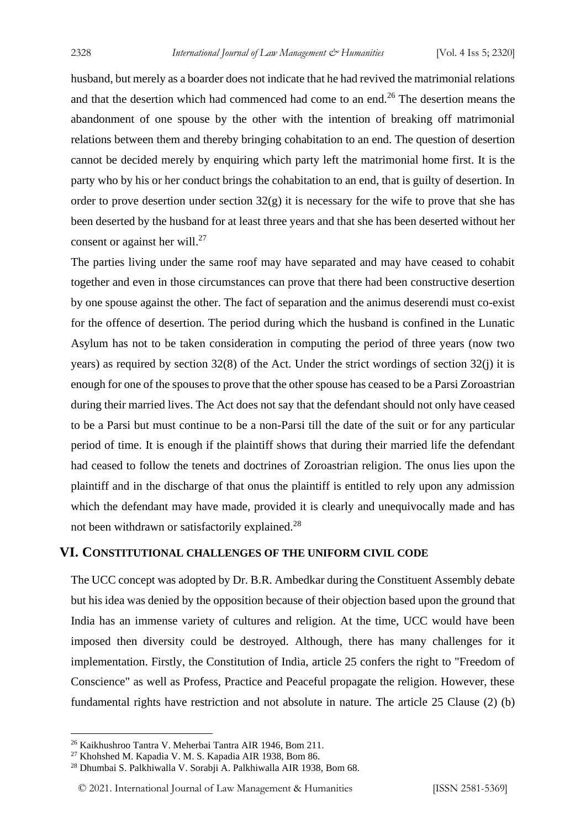husband, but merely as a boarder does not indicate that he had revived the matrimonial relations and that the desertion which had commenced had come to an end.<sup>26</sup> The desertion means the abandonment of one spouse by the other with the intention of breaking off matrimonial relations between them and thereby bringing cohabitation to an end. The question of desertion cannot be decided merely by enquiring which party left the matrimonial home first. It is the party who by his or her conduct brings the cohabitation to an end, that is guilty of desertion. In order to prove desertion under section  $32(g)$  it is necessary for the wife to prove that she has been deserted by the husband for at least three years and that she has been deserted without her consent or against her will. $27$ 

The parties living under the same roof may have separated and may have ceased to cohabit together and even in those circumstances can prove that there had been constructive desertion by one spouse against the other. The fact of separation and the animus deserendi must co-exist for the offence of desertion. The period during which the husband is confined in the Lunatic Asylum has not to be taken consideration in computing the period of three years (now two years) as required by section 32(8) of the Act. Under the strict wordings of section 32(j) it is enough for one of the spouses to prove that the other spouse has ceased to be a Parsi Zoroastrian during their married lives. The Act does not say that the defendant should not only have ceased to be a Parsi but must continue to be a non-Parsi till the date of the suit or for any particular period of time. It is enough if the plaintiff shows that during their married life the defendant had ceased to follow the tenets and doctrines of Zoroastrian religion. The onus lies upon the plaintiff and in the discharge of that onus the plaintiff is entitled to rely upon any admission which the defendant may have made, provided it is clearly and unequivocally made and has not been withdrawn or satisfactorily explained.<sup>28</sup>

#### **VI. CONSTITUTIONAL CHALLENGES OF THE UNIFORM CIVIL CODE**

The UCC concept was adopted by Dr. B.R. Ambedkar during the Constituent Assembly debate but his idea was denied by the opposition because of their objection based upon the ground that India has an immense variety of cultures and religion. At the time, UCC would have been imposed then diversity could be destroyed. Although, there has many challenges for it implementation. Firstly, the Constitution of India, article 25 confers the right to "Freedom of Conscience" as well as Profess, Practice and Peaceful propagate the religion. However, these fundamental rights have restriction and not absolute in nature. The article 25 Clause (2) (b)

<sup>26</sup> Kaikhushroo Tantra V. Meherbai Tantra AIR 1946, Bom 211.

<sup>27</sup> Khohshed M. Kapadia V. M. S. Kapadia AIR 1938, Bom 86.

<sup>28</sup> Dhumbai S. Palkhiwalla V. Sorabji A. Palkhiwalla AIR 1938, Bom 68.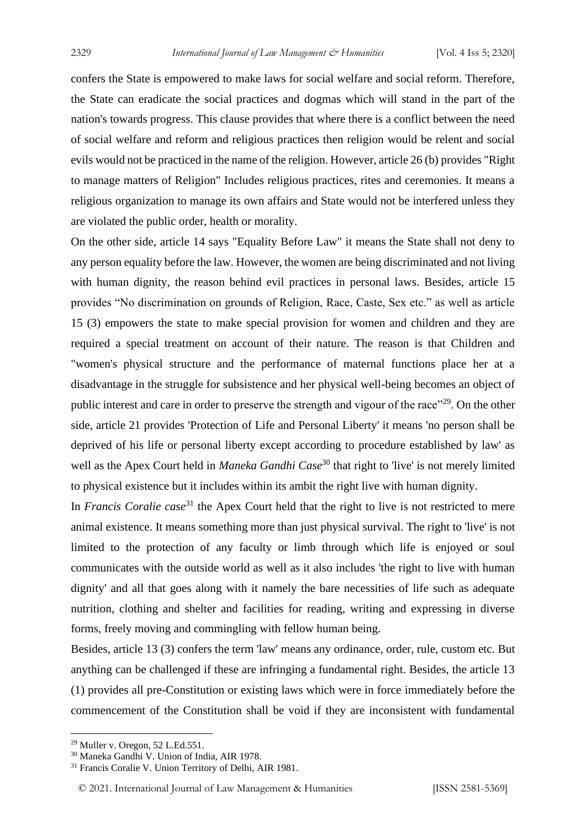confers the State is empowered to make laws for social welfare and social reform. Therefore, the State can eradicate the social practices and dogmas which will stand in the part of the nation's towards progress. This clause provides that where there is a conflict between the need of social welfare and reform and religious practices then religion would be relent and social evils would not be practiced in the name of the religion. However, article 26 (b) provides "Right to manage matters of Religion" Includes religious practices, rites and ceremonies. It means a religious organization to manage its own affairs and State would not be interfered unless they are violated the public order, health or morality.

On the other side, article 14 says "Equality Before Law" it means the State shall not deny to any person equality before the law. However, the women are being discriminated and not living with human dignity, the reason behind evil practices in personal laws. Besides, article 15 provides "No discrimination on grounds of Religion, Race, Caste, Sex etc." as well as article 15 (3) empowers the state to make special provision for women and children and they are required a special treatment on account of their nature. The reason is that Children and "women's physical structure and the performance of maternal functions place her at a disadvantage in the struggle for subsistence and her physical well-being becomes an object of public interest and care in order to preserve the strength and vigour of the race"<sup>29</sup>. On the other side, article 21 provides 'Protection of Life and Personal Liberty' it means 'no person shall be deprived of his life or personal liberty except according to procedure established by law' as well as the Apex Court held in *Maneka Gandhi Case*<sup>30</sup> that right to 'live' is not merely limited to physical existence but it includes within its ambit the right live with human dignity.

In *Francis Coralie case*<sup>31</sup> the Apex Court held that the right to live is not restricted to mere animal existence. It means something more than just physical survival. The right to 'live' is not limited to the protection of any faculty or limb through which life is enjoyed or soul communicates with the outside world as well as it also includes 'the right to live with human dignity' and all that goes along with it namely the bare necessities of life such as adequate nutrition, clothing and shelter and facilities for reading, writing and expressing in diverse forms, freely moving and commingling with fellow human being.

Besides, article 13 (3) confers the term 'law' means any ordinance, order, rule, custom etc. But anything can be challenged if these are infringing a fundamental right. Besides, the article 13 (1) provides all pre-Constitution or existing laws which were in force immediately before the commencement of the Constitution shall be void if they are inconsistent with fundamental

 $29$  Muller v. Oregon, 52 L.Ed.551.

<sup>30</sup> Maneka Gandhi V. Union of India, AIR 1978.

<sup>31</sup> Francis Coralie V. Union Territory of Delhi, AIR 1981.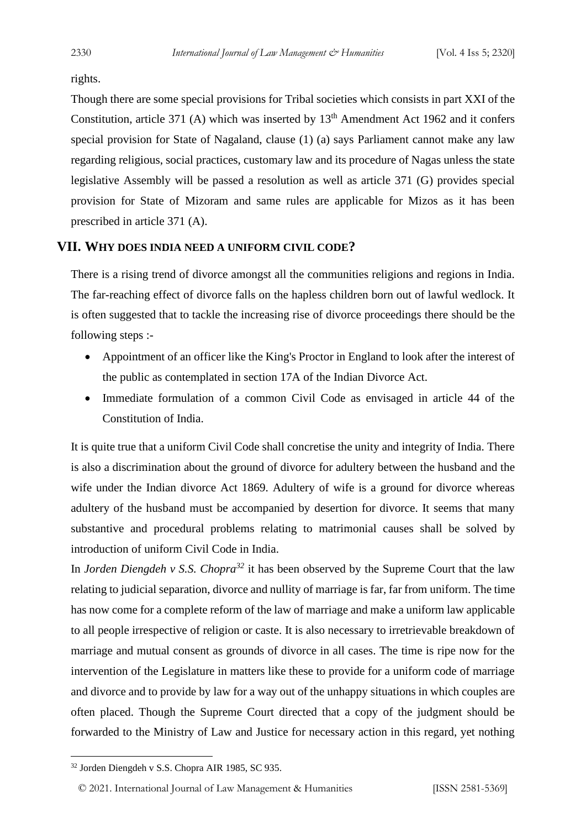rights.

Though there are some special provisions for Tribal societies which consists in part XXI of the Constitution, article 371 (A) which was inserted by  $13<sup>th</sup>$  Amendment Act 1962 and it confers special provision for State of Nagaland, clause (1) (a) says Parliament cannot make any law regarding religious, social practices, customary law and its procedure of Nagas unless the state legislative Assembly will be passed a resolution as well as article 371 (G) provides special provision for State of Mizoram and same rules are applicable for Mizos as it has been prescribed in article 371 (A).

### **VII. WHY DOES INDIA NEED A UNIFORM CIVIL CODE?**

There is a rising trend of divorce amongst all the communities religions and regions in India. The far-reaching effect of divorce falls on the hapless children born out of lawful wedlock. It is often suggested that to tackle the increasing rise of divorce proceedings there should be the following steps :-

- Appointment of an officer like the King's Proctor in England to look after the interest of the public as contemplated in section 17A of the Indian Divorce Act.
- Immediate formulation of a common Civil Code as envisaged in article 44 of the Constitution of India.

It is quite true that a uniform Civil Code shall concretise the unity and integrity of India. There is also a discrimination about the ground of divorce for adultery between the husband and the wife under the Indian divorce Act 1869. Adultery of wife is a ground for divorce whereas adultery of the husband must be accompanied by desertion for divorce. It seems that many substantive and procedural problems relating to matrimonial causes shall be solved by introduction of uniform Civil Code in India.

In *Jorden Diengdeh v S.S. Chopra<sup>32</sup>* it has been observed by the Supreme Court that the law relating to judicial separation, divorce and nullity of marriage is far, far from uniform. The time has now come for a complete reform of the law of marriage and make a uniform law applicable to all people irrespective of religion or caste. It is also necessary to irretrievable breakdown of marriage and mutual consent as grounds of divorce in all cases. The time is ripe now for the intervention of the Legislature in matters like these to provide for a uniform code of marriage and divorce and to provide by law for a way out of the unhappy situations in which couples are often placed. Though the Supreme Court directed that a copy of the judgment should be forwarded to the Ministry of Law and Justice for necessary action in this regard, yet nothing

<sup>32</sup> Jorden Diengdeh v S.S. Chopra AIR 1985, SC 935.

<sup>© 2021.</sup> International Journal of [Law Management & Humanities](https://www.ijlmh.com/) [ISSN 2581-5369]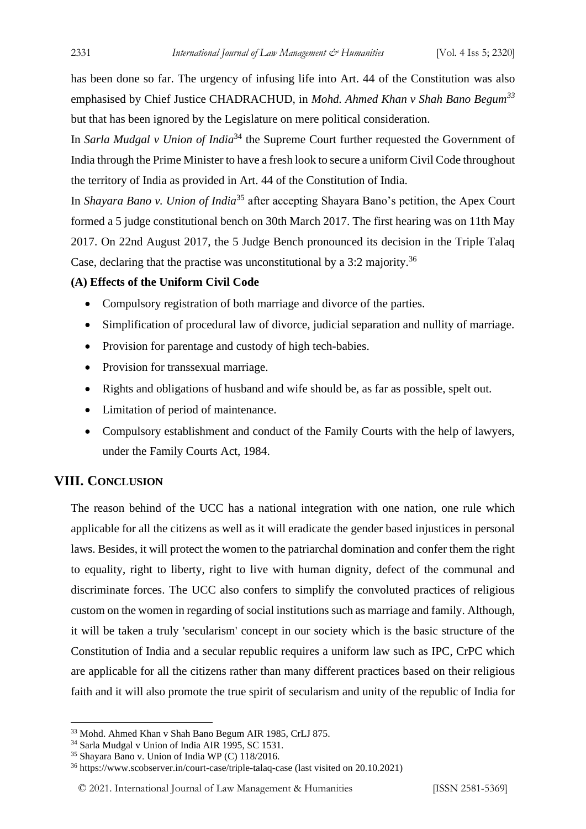has been done so far. The urgency of infusing life into Art. 44 of the Constitution was also emphasised by Chief Justice CHADRACHUD, in *Mohd. Ahmed Khan v Shah Bano Begum<sup>33</sup>* but that has been ignored by the Legislature on mere political consideration.

In *Sarla Mudgal v Union of India*<sup>34</sup> the Supreme Court further requested the Government of India through the Prime Minister to have a fresh look to secure a uniform Civil Code throughout the territory of India as provided in Art. 44 of the Constitution of India.

In *Shayara Bano v. Union of India*<sup>35</sup> after accepting Shayara Bano's petition, the Apex Court formed a 5 judge constitutional bench on 30th March 2017. The first hearing was on 11th May 2017. On 22nd August 2017, the 5 Judge Bench pronounced its decision in the Triple Talaq Case, declaring that the practise was unconstitutional by a  $3:2$  majority.<sup>36</sup>

#### **(A) Effects of the Uniform Civil Code**

- Compulsory registration of both marriage and divorce of the parties.
- Simplification of procedural law of divorce, judicial separation and nullity of marriage.
- Provision for parentage and custody of high tech-babies.
- Provision for transsexual marriage.
- Rights and obligations of husband and wife should be, as far as possible, spelt out.
- Limitation of period of maintenance.
- Compulsory establishment and conduct of the Family Courts with the help of lawyers, under the Family Courts Act, 1984.

## **VIII. CONCLUSION**

The reason behind of the UCC has a national integration with one nation, one rule which applicable for all the citizens as well as it will eradicate the gender based injustices in personal laws. Besides, it will protect the women to the patriarchal domination and confer them the right to equality, right to liberty, right to live with human dignity, defect of the communal and discriminate forces. The UCC also confers to simplify the convoluted practices of religious custom on the women in regarding of social institutions such as marriage and family. Although, it will be taken a truly 'secularism' concept in our society which is the basic structure of the Constitution of India and a secular republic requires a uniform law such as IPC, CrPC which are applicable for all the citizens rather than many different practices based on their religious faith and it will also promote the true spirit of secularism and unity of the republic of India for

<sup>33</sup> Mohd. Ahmed Khan v Shah Bano Begum AIR 1985, CrLJ 875.

<sup>34</sup> Sarla Mudgal v Union of India AIR 1995, SC 1531.

<sup>35</sup> Shayara Bano v. Union of India WP (C) 118/2016.

<sup>36</sup> https://www.scobserver.in/court-case/triple-talaq-case (last visited on 20.10.2021)